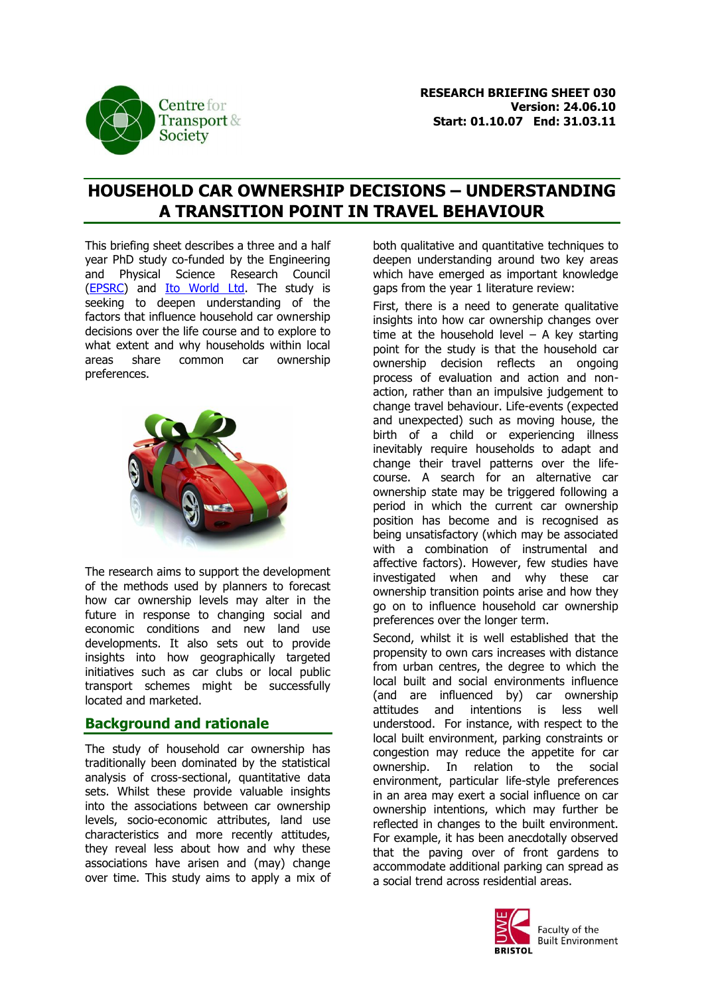

# **HOUSEHOLD CAR OWNERSHIP DECISIONS – UNDERSTANDING A TRANSITION POINT IN TRAVEL BEHAVIOUR**

This briefing sheet describes a three and a half year PhD study co-funded by the Engineering and Physical Science Research Council [\(EPSRC\)](http://www.epsrc.ac.uk/) and Ito [World Ltd.](http://www.itoworld.com/) The study is seeking to deepen understanding of the factors that influence household car ownership decisions over the life course and to explore to what extent and why households within local areas share common car ownership preferences.



The research aims to support the development of the methods used by planners to forecast how car ownership levels may alter in the future in response to changing social and economic conditions and new land use developments. It also sets out to provide insights into how geographically targeted initiatives such as car clubs or local public transport schemes might be successfully located and marketed.

### **Background and rationale**

The study of household car ownership has traditionally been dominated by the statistical analysis of cross-sectional, quantitative data sets. Whilst these provide valuable insights into the associations between car ownership levels, socio-economic attributes, land use characteristics and more recently attitudes, they reveal less about how and why these associations have arisen and (may) change over time. This study aims to apply a mix of both qualitative and quantitative techniques to deepen understanding around two key areas which have emerged as important knowledge gaps from the year 1 literature review:

First, there is a need to generate qualitative insights into how car ownership changes over time at the household level  $-$  A key starting point for the study is that the household car ownership decision reflects an ongoing process of evaluation and action and nonaction, rather than an impulsive judgement to change travel behaviour. Life-events (expected and unexpected) such as moving house, the birth of a child or experiencing illness inevitably require households to adapt and change their travel patterns over the lifecourse. A search for an alternative car ownership state may be triggered following a period in which the current car ownership position has become and is recognised as being unsatisfactory (which may be associated with a combination of instrumental and affective factors). However, few studies have investigated when and why these car ownership transition points arise and how they go on to influence household car ownership preferences over the longer term.

Second, whilst it is well established that the propensity to own cars increases with distance from urban centres, the degree to which the local built and social environments influence (and are influenced by) car ownership attitudes and intentions is less well understood. For instance, with respect to the local built environment, parking constraints or congestion may reduce the appetite for car ownership. In relation to the social environment, particular life-style preferences in an area may exert a social influence on car ownership intentions, which may further be reflected in changes to the built environment. For example, it has been anecdotally observed that the paving over of front gardens to accommodate additional parking can spread as a social trend across residential areas.